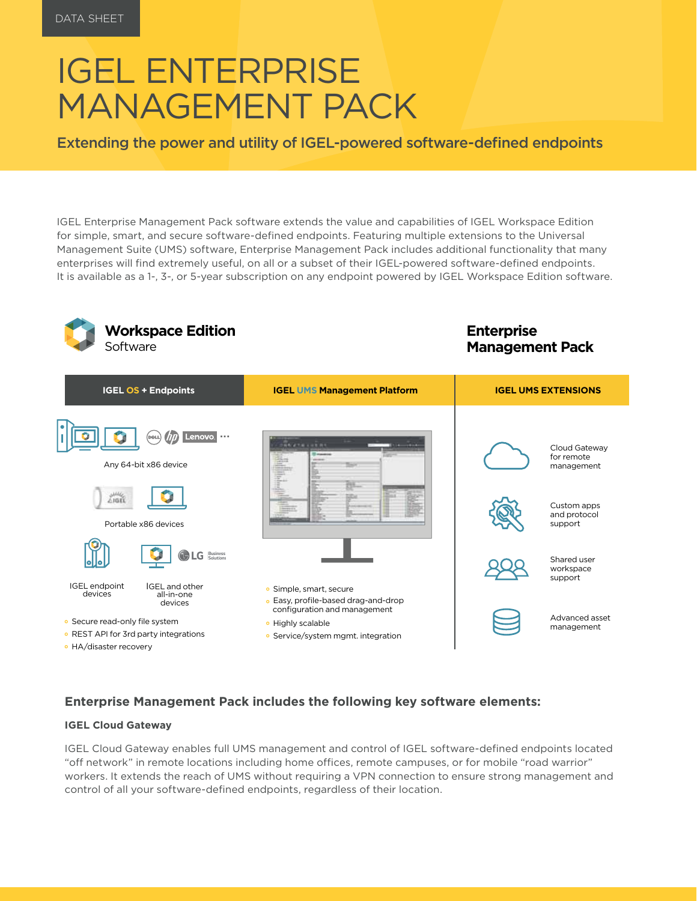# IGEL ENTERPRISE MANAGEMENT PACK

Extending the power and utility of IGEL-powered software-defined endpoints

IGEL Enterprise Management Pack software extends the value and capabilities of IGEL Workspace Edition for simple, smart, and secure software-defined endpoints. Featuring multiple extensions to the Universal Management Suite (UMS) software, Enterprise Management Pack includes additional functionality that many enterprises will find extremely useful, on all or a subset of their IGEL-powered software-defined endpoints. It is available as a 1-, 3-, or 5-year subscription on any endpoint powered by IGEL Workspace Edition software.

| <b>Workspace Edition</b><br>Software                                                                                                                  |                                                                                                                                                           | <b>Enterprise</b><br><b>Management Pack</b>                                                        |
|-------------------------------------------------------------------------------------------------------------------------------------------------------|-----------------------------------------------------------------------------------------------------------------------------------------------------------|----------------------------------------------------------------------------------------------------|
| <b>IGEL OS + Endpoints</b>                                                                                                                            | <b>IGEL UMS Management Platform</b>                                                                                                                       | <b>IGEL UMS EXTENSIONS</b>                                                                         |
| Lenovo<br><b>DOLL</b><br>Any 64-bit x86 device<br>بمفقل<br>41601<br>Portable x86 devices<br><b>Business</b><br>Solutions<br>G                         | <b><i><u>PARATA CARRO</u></i></b>                                                                                                                         | Cloud Gateway<br>for remote<br>management<br>Custom apps<br>and protocol<br>support<br>Shared user |
| IGEL endpoint<br><b>IGEL</b> and other<br>devices<br>all-in-one<br>devices<br>• Secure read-only file system<br>• REST API for 3rd party integrations | · Simple, smart, secure<br>• Easy, profile-based drag-and-drop<br>configuration and management<br>· Highly scalable<br>• Service/system mgmt. integration | workspace<br>support<br>Advanced asset<br>management                                               |
| • HA/disaster recovery                                                                                                                                |                                                                                                                                                           |                                                                                                    |

#### **Enterprise Management Pack includes the following key software elements:**

#### **IGEL Cloud Gateway**

IGEL Cloud Gateway enables full UMS management and control of IGEL software-defined endpoints located "off network" in remote locations including home offices, remote campuses, or for mobile "road warrior" workers. It extends the reach of UMS without requiring a VPN connection to ensure strong management and control of all your software-defined endpoints, regardless of their location.